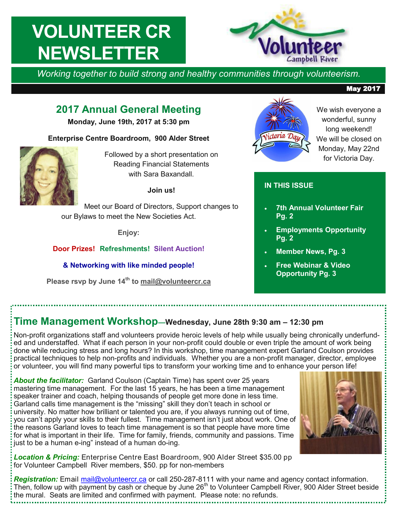# **VOLUNTEER CR NEWSLETTER**



*Working together to build strong and healthy communities through volunteerism.* 

## **2017 Annual General Meeting**

**Monday, June 19th, 2017 at 5:30 pm**

#### **Enterprise Centre Boardroom, 900 Alder Street**



Followed by a short presentation on Reading Financial Statements with Sara Baxandall

**Join us!**

Meet our Board of Directors, Support changes to our Bylaws to meet the New Societies Act.

**Enjoy:**

#### **Door Prizes! Refreshments! Silent Auction!**

**& Networking with like minded people!** 

**Please rsvp by June 14th to [mail@volunteercr.ca](mailto:mail@volunteercr.ca)** 



We wish everyone a wonderful, sunny long weekend! We will be closed on Monday, May 22nd for Victoria Day.

## **IN THIS ISSUE**

- **7th Annual Volunteer Fair Pg. 2**
- **Employments Opportunity Pg. 2**
- **Member News, Pg. 3**
- **Free Webinar & Video Opportunity Pg. 3**

## **Time Management Workshop—Wednesday, June 28th 9:30 am – 12:30 pm**

Non-profit organizations staff and volunteers provide heroic levels of help while usually being chronically underfunded and understaffed. What if each person in your non-profit could double or even triple the amount of work being done while reducing stress and long hours? In this workshop, time management expert Garland Coulson provides practical techniques to help non-profits and individuals. Whether you are a non-profit manager, director, employee or volunteer, you will find many powerful tips to transform your working time and to enhance your person life!

*About the facilitator:* Garland Coulson (Captain Time) has spent over 25 years mastering time management. For the last 15 years, he has been a time management speaker trainer and coach, helping thousands of people get more done in less time. Garland calls time management is the "missing" skill they don't teach in school or university. No matter how brilliant or talented you are, if you always running out of time, you can't apply your skills to their fullest. Time management isn't just about work. One of the reasons Garland loves to teach time management is so that people have more time for what is important in their life. Time for family, friends, community and passions. Time just to be a human e-ing" instead of a human do-ing.

*Location & Pricing:* Enterprise Centre East Boardroom, 900 Alder Street \$35.00 pp for Volunteer Campbell River members, \$50. pp for non-members

*Registration:* Email [mail@volunteercr.ca](mailto:mail@volunteercr.ca) or call 250-287-8111 with your name and agency contact information. Then, follow up with payment by cash or cheque by June 26<sup>th</sup> to Volunteer Campbell River, 900 Alder Street beside the mural. Seats are limited and confirmed with payment. Please note: no refunds.



#### May 2017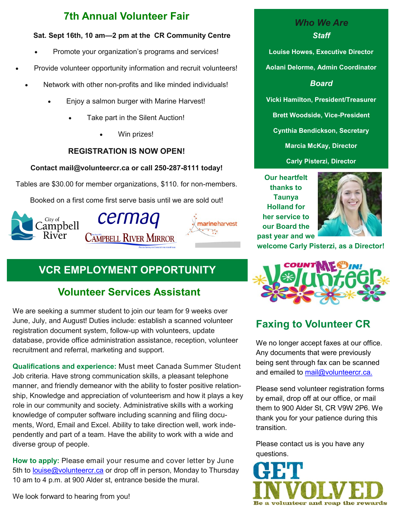## **7th Annual Volunteer Fair**

#### **Sat. Sept 16th, 10 am—2 pm at the CR Community Centre**

- Promote your organization's programs and services!
- Provide volunteer opportunity information and recruit volunteers!
	- Network with other non-profits and like minded individuals!
		- Enjoy a salmon burger with Marine Harvest!
			- Take part in the Silent Auction!
				- Win prizes!

## **REGISTRATION IS NOW OPEN!**

#### **Contact mail@volunteercr.ca or call 250-287-8111 today!**

Tables are \$30.00 for member organizations, \$110. for non-members.

Booked on a first come first serve basis until we are sold out!



## **VCR EMPLOYMENT OPPORTUNITY**

## **Volunteer Services Assistant**

We are seeking a summer student to join our team for 9 weeks over June, July, and August! Duties include: establish a scanned volunteer registration document system, follow-up with volunteers, update database, provide office administration assistance, reception, volunteer recruitment and referral, marketing and support.

**Qualifications and experience:** Must meet Canada Summer Student Job criteria. Have strong communication skills, a pleasant telephone manner, and friendly demeanor with the ability to foster positive relationship, Knowledge and appreciation of volunteerism and how it plays a key role in our community and society. Administrative skills with a working knowledge of computer software including scanning and filing documents, Word, Email and Excel. Ability to take direction well, work independently and part of a team. Have the ability to work with a wide and diverse group of people.

**How to apply:** Please email your resume and cover letter by June 5th to [louise@volunteercr.ca](mailto:louise@volunteercr.ca) or drop off in person, Monday to Thursday 10 am to 4 p.m. at 900 Alder st, entrance beside the mural.

**Aolani Delorme, Admin Coordinator** *Board* **Vicki Hamilton, President/Treasurer Brett Woodside, Vice-President Cynthia Bendickson, Secretary Marcia McKay, Director Carly Pisterzi, Director**

*Who We Are Staff*

**Louise Howes, Executive Director** 

**Our heartfelt thanks to Taunya Holland for her service to our Board the past year and we** 



**welcome Carly Pisterzi, as a Director!**



## **Faxing to Volunteer CR**

We no longer accept faxes at our office. Any documents that were previously being sent through fax can be scanned and emailed to [mail@volunteercr.ca.](mailto:mail@volunteercr.ca)

Please send volunteer registration forms by email, drop off at our office, or mail them to 900 Alder St, CR V9W 2P6. We thank you for your patience during this transition.

Please contact us is you have any questions.



We look forward to hearing from you!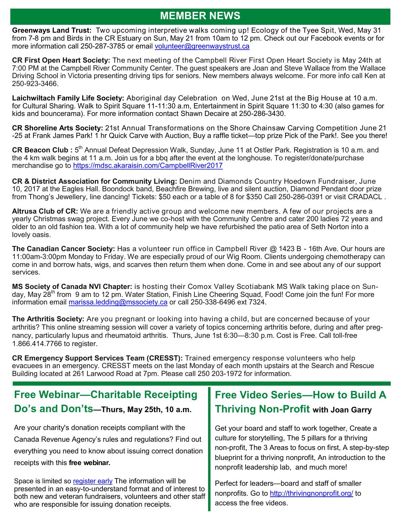## **MEMBER NEWS**

<span id="page-2-0"></span>**Greenways Land Trust:** Two upcoming interpretive walks coming up! Ecology of the Tyee Spit, Wed, May 31 from 7-8 pm and Birds in the CR Estuary on Sun, May 21 from 10am to 12 pm. Check out our Facebook events or for more information call 250-287-3785 or email [volunteer@greenwaystrust.ca](mailto:volunteer@greenways.ca)

**CR First Open Heart Society:** The next meeting of the Campbell River First Open Heart Society is May 24th at 7:00 PM at the Campbell River Community Center. The guest speakers are Joan and Steve Wallace from the Wallace Driving School in Victoria presenting driving tips for seniors. New members always welcome. For more info call Ken at 250-923-3466.

**Laichwiltach Family Life Society:** Aboriginal day Celebration on Wed, June 21st at the Big House at 10 a.m. for Cultural Sharing. Walk to Spirit Square 11-11:30 a.m, Entertainment in Spirit Square 11:30 to 4:30 (also games for kids and bouncerama). For more information contact Shawn Decaire at 250-286-3430.

**CR Shoreline Arts Society:** 21st Annual Transformations on the Shore Chainsaw Carving Competition June 21 -25 at Frank James Park! 1 hr Quick Carve with Auction, Buy a raffle ticket—top prize Pick of the Park!. See you there!

CR Beacon Club : 5<sup>th</sup> Annual Defeat Depression Walk, Sunday, June 11 at Ostler Park. Registration is 10 a.m. and the 4 km walk begins at 11 a.m. Join us for a bbq after the event at the longhouse. To register/donate/purchase merchandise go to<https://mdsc.akaraisin.com/CampbellRiver2017>

**CR & District Association for Community Living:** Denim and Diamonds Country Hoedown Fundraiser, June 10, 2017 at the Eagles Hall. Boondock band, Beachfire Brewing, live and silent auction, Diamond Pendant door prize from Thong's Jewellery, line dancing! Tickets: \$50 each or a table of 8 for \$350 Call 250-286-0391 or visit CRADACL .

**Altrusa Club of CR:** We are a friendly active group and welcome new members. A few of our projects are a yearly Christmas swag project. Every June we co-host with the Community Centre and cater 200 ladies 72 years and older to an old fashion tea. With a lot of community help we have refurbished the patio area of Seth Norton into a lovely oasis.

**The Canadian Cancer Society:** Has a volunteer run office in Campbell River @ 1423 B - 16th Ave. Our hours are 11:00am-3:00pm Monday to Friday. We are especially proud of our Wig Room. Clients undergoing chemotherapy can come in and borrow hats, wigs, and scarves then return them when done. Come in and see about any of our support services.

**MS Society of Canada NVI Chapter:** is hosting their Comox Valley Scotiabank MS Walk taking place on Sunday, May 28<sup>th</sup> from 9 am to 12 pm. Water Station, Finish Line Cheering Squad, Food! Come join the fun! For more information email [marissa.ledding@mssociety.ca](mailto:marissa.ledding@mssociety.ca) or call 250-338-6496 ext 7324.

**The Arthritis Society:** Are you pregnant or looking into having a child, but are concerned because of your arthritis? This online streaming session will cover a variety of topics concerning arthritis before, during and after pregnancy, particularly lupus and rheumatoid arthritis. Thurs, June 1st 6:30—8:30 p.m. Cost is Free. Call toll-free 1.866.414.7766 to register.

**CR Emergency Support Services Team (CRESST):** Trained emergency response volunteers who help evacuees in an emergency. CRESST meets on the last Monday of each month upstairs at the Search and Rescue Building located at 261 Larwood Road at 7pm. Please call 250 203-1972 for information.

## **Free Webinar—Charitable Receipting Do's and Don'ts—Thurs, May 25th, 10 a.m.**

Are your charity's donation receipts compliant with the Canada Revenue Agency's rules and regulations? Find out everything you need to know about issuing correct donation receipts with this **free webinar.**

Space is limited so [register early](https://charityvillage.com/free-webinar-charitable-receipting-dos-and-donts.aspx) The information will be presented in an easy-to-understand format and of interest to both new and veteran fundraisers, volunteers and other staff who are responsible for issuing donation receipts.

## **Free Video Series—How to Build A Thriving Non-Profit with Joan Garry**

Get your board and staff to work together, Create a culture for storytelling, The 5 pillars for a thriving non-profit, The 3 Areas to focus on first, A step-by-step blueprint for a thriving nonprofit, An introduction to the nonprofit leadership lab, and much more!

Perfect for leaders—board and staff of smaller nonprofits. Go to [http://thrivingnonprofit.org/](#page-2-0) to access the free videos.